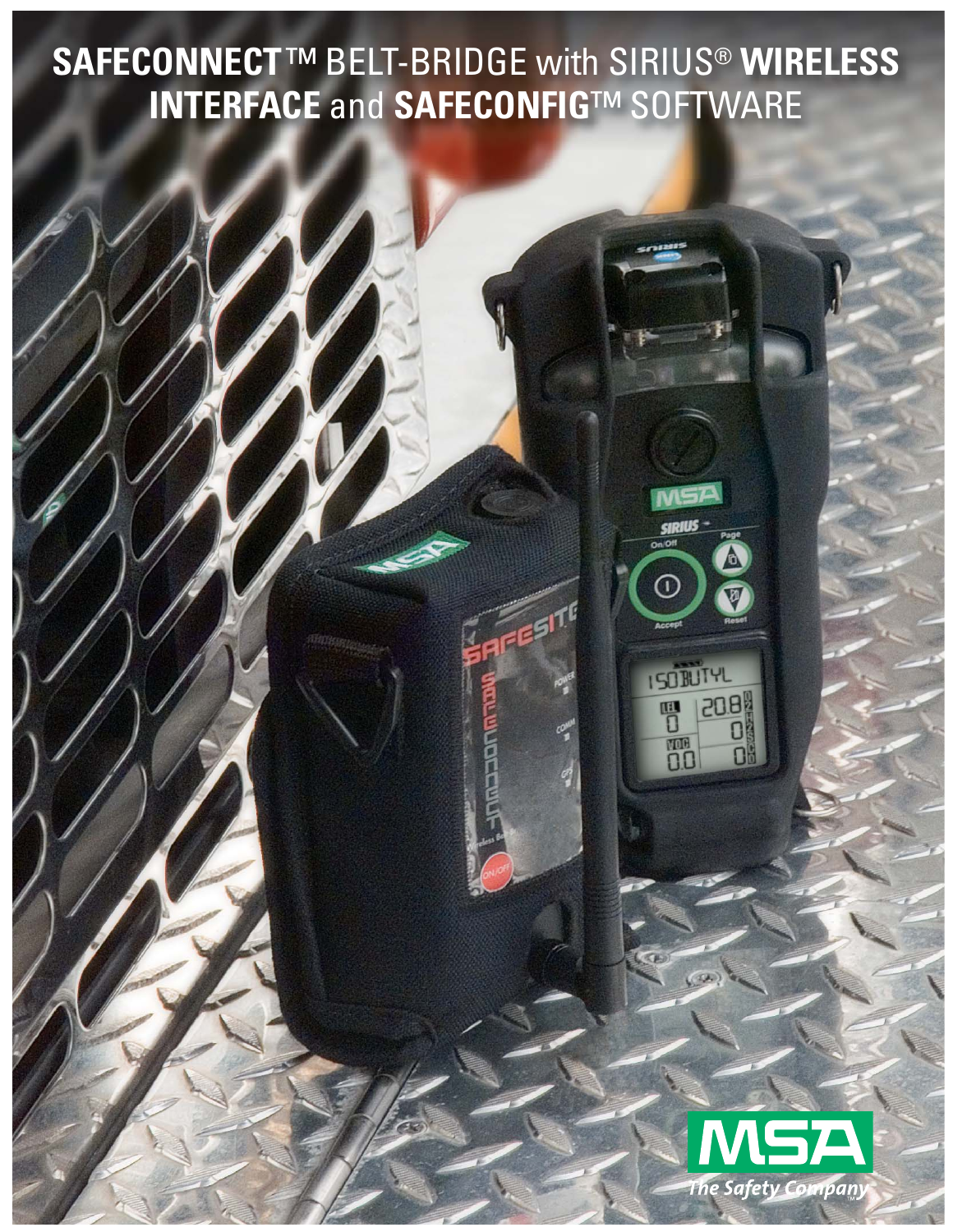**SAFECONNECT**™ BELT-BRIDGE with SIRIUS® **WIRELESS INTERFACE** and **SAFECONFIG**™ SOFTWARE



SIRIU

 $\mathbb G$ 

**ISOBUTYL** 

 $\overline{0}$ 

丽

1208

O

O

ESITE

COM

 $\sigma$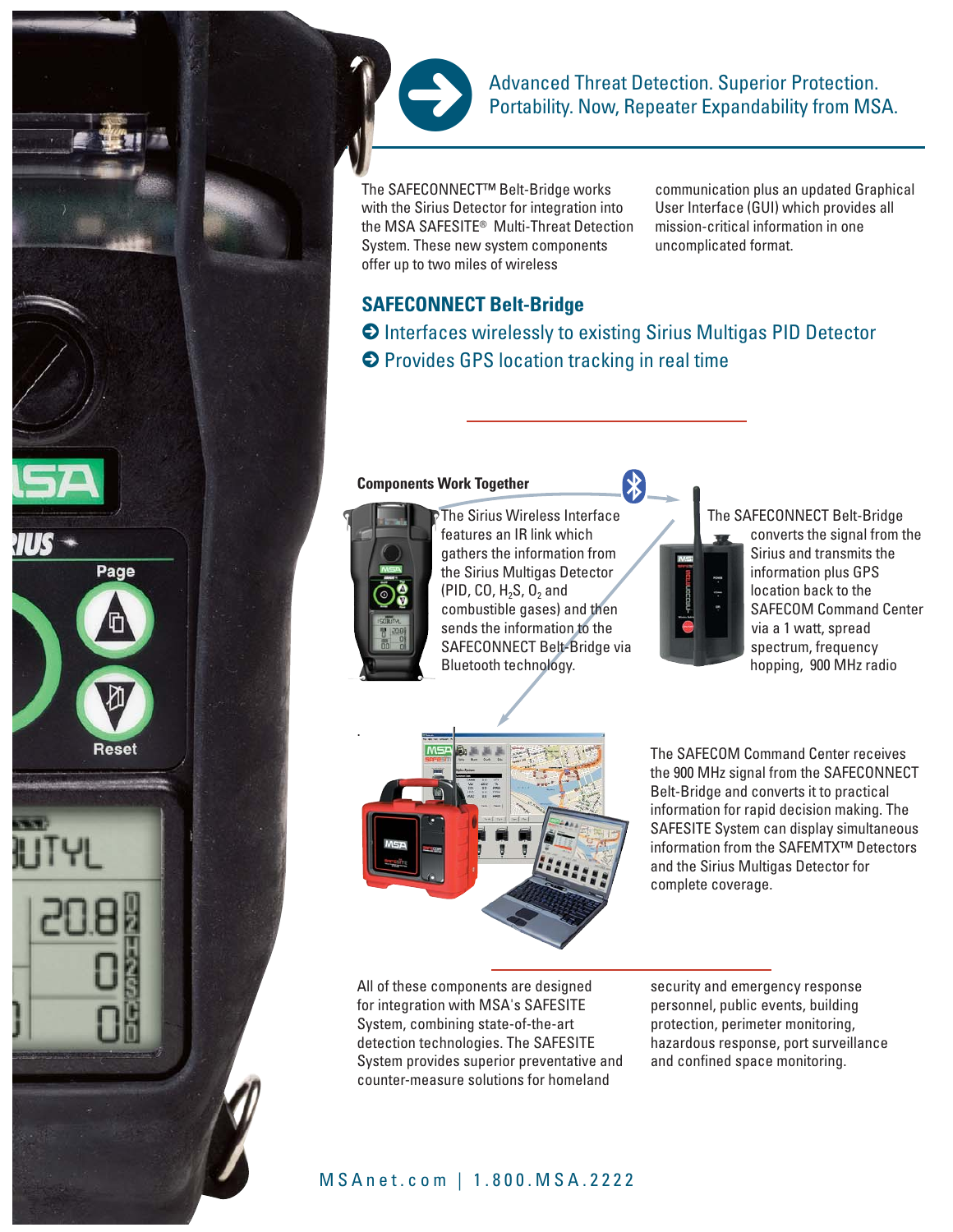

Advanced Threat Detection. Superior Protection. Portability. Now, Repeater Expandability from MSA.

The SAFECONNECT™ Belt-Bridge works with the Sirius Detector for integration into the MSA SAFESITE® Multi-Threat Detection System. These new system components offer up to two miles of wireless

communication plus an updated Graphical User Interface (GUI) which provides all mission-critical information in one uncomplicated format.

# **SAFECONNECT Belt-Bridge**

**>** Interfaces wirelessly to existing Sirius Multigas PID Detector **>** Provides GPS location tracking in real time

#### **Components Work Together**



Page

The Sirius Wireless Interface features an IR link which gathers the information from the Sirius Multigas Detector (PID, CO,  $H_2S$ , O<sub>2</sub> and combustible gases) and then sends the information to the SAFECONNECT Belt-Bridge via Bluetooth technology.



The SAFECONNECT Belt-Bridge converts the signal from the Sirius and transmits the information plus GPS location back to the SAFECOM Command Center via a 1 watt, spread spectrum, frequency hopping, 900 MHz radio



All of these components are designed for integration with MSA's SAFESITE System, combining state-of-the-art detection technologies. The SAFESITE System provides superior preventative and counter-measure solutions for homeland

The SAFECOM Command Center receives the 900 MHz signal from the SAFECONNECT Belt-Bridge and converts it to practical information for rapid decision making. The SAFESITE System can display simultaneous information from the SAFEMTX™ Detectors and the Sirius Multigas Detector for complete coverage.

security and emergency response personnel, public events, building protection, perimeter monitoring, hazardous response, port surveillance and confined space monitoring.

## MSAnet.com | 1.800.MSA.2222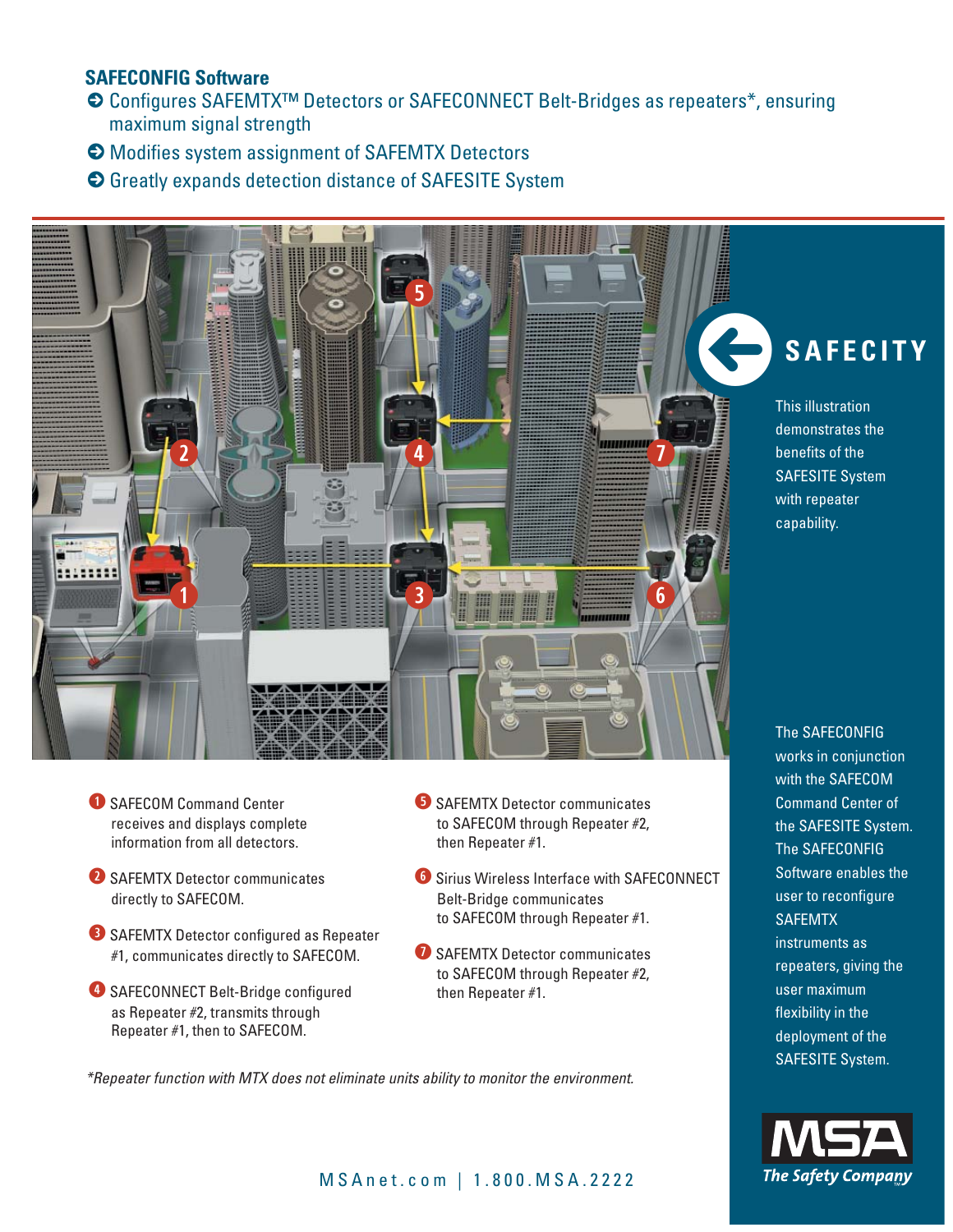# **SAFECONFIG Software**

- 5 Configures SAFEMTX™ Detectors or SAFECONNECT Belt-Bridges as repeaters\*, ensuring maximum signal strength
- **>** Modifies system assignment of SAFEMTX Detectors
- **>** Greatly expands detection distance of SAFESITE System



- **Q** SAFECOM Command Center receives and displays complete information from all detectors.
- **W** SAFEMTX Detector communicates directly to SAFECOM.
- **B** SAFEMTX Detector configured as Repeater #1, communicates directly to SAFECOM.
- **<sup>4</sup>** SAFECONNECT Belt-Bridge configured as Repeater #2, transmits through Repeater #1, then to SAFECOM.
- **b** SAFEMTX Detector communicates to SAFECOM through Repeater #2, then Repeater #1.
- *C* Sirius Wireless Interface with SAFECONNECT Belt-Bridge communicates to SAFECOM through Repeater #1.
- *U* SAFEMTX Detector communicates to SAFECOM through Repeater #2, then Repeater #1.

*\*Repeater function with MTX does not eliminate units ability to monitor the environment.*

# \**SAFECITY**

This illustration demonstrates the benefits of the SAFESITE System with repeater capability.

The SAFECONFIG works in conjunction with the SAFECOM Command Center of the SAFESITE System. The SAFECONFIG Software enables the user to reconfigure **SAFEMTX** instruments as repeaters, giving the user maximum flexibility in the deployment of the SAFESITE System.